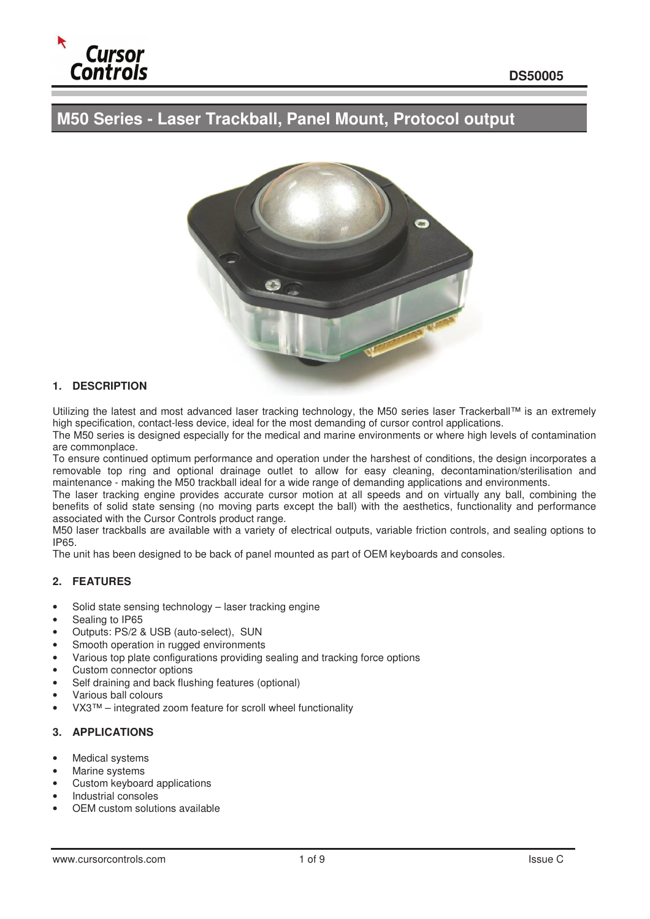

# **M50 Series - Laser Trackball, Panel Mount, Protocol output**



# **1. DESCRIPTION**

Utilizing the latest and most advanced laser tracking technology, the M50 series laser Trackerball™ is an extremely high specification, contact-less device, ideal for the most demanding of cursor control applications.

The M50 series is designed especially for the medical and marine environments or where high levels of contamination are commonplace.

To ensure continued optimum performance and operation under the harshest of conditions, the design incorporates a removable top ring and optional drainage outlet to allow for easy cleaning, decontamination/sterilisation and maintenance - making the M50 trackball ideal for a wide range of demanding applications and environments.

The laser tracking engine provides accurate cursor motion at all speeds and on virtually any ball, combining the benefits of solid state sensing (no moving parts except the ball) with the aesthetics, functionality and performance associated with the Cursor Controls product range.

M50 laser trackballs are available with a variety of electrical outputs, variable friction controls, and sealing options to IP65.

The unit has been designed to be back of panel mounted as part of OEM keyboards and consoles.

# **2. FEATURES**

- Solid state sensing technology laser tracking engine
- Sealing to IP65
- Outputs: PS/2 & USB (auto-select), SUN
- Smooth operation in rugged environments
- Various top plate configurations providing sealing and tracking force options
- Custom connector options
- Self draining and back flushing features (optional)
- Various ball colours
- VX3™ integrated zoom feature for scroll wheel functionality

#### **3. APPLICATIONS**

- Medical systems
- Marine systems
- Custom keyboard applications
- Industrial consoles
- OEM custom solutions available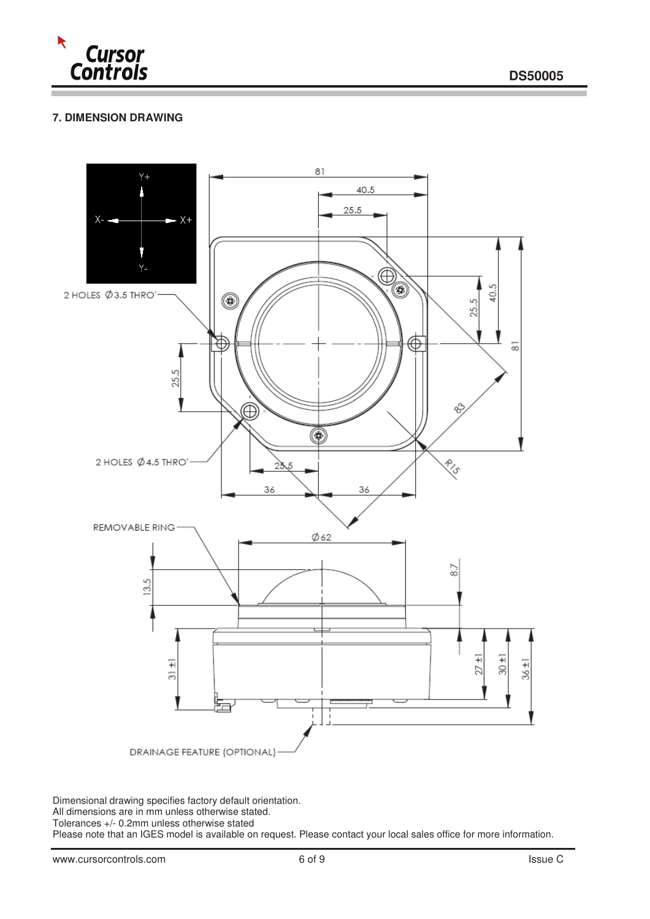

# **7. DIMENSION DRAWING**



Dimensional drawing specifies factory default orientation.

All dimensions are in mm unless otherwise stated.

Tolerances +/- 0.2mm unless otherwise stated

Please note that an IGES model is available on request. Please contact your local sales office for more information.